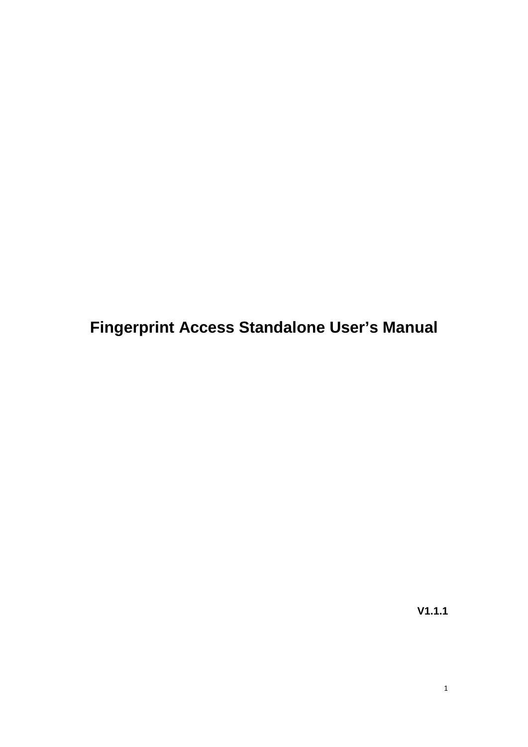**Fingerprint Access Standalone User's Manual**

**V1.1.1**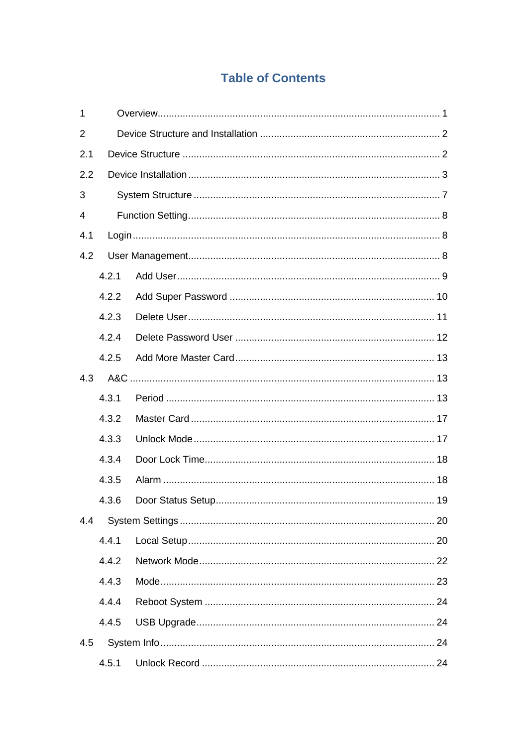# **Table of Contents**

| 1   |       |  |  |  |
|-----|-------|--|--|--|
| 2   |       |  |  |  |
| 2.1 |       |  |  |  |
| 2.2 |       |  |  |  |
| 3   |       |  |  |  |
| 4   |       |  |  |  |
| 4.1 |       |  |  |  |
| 4.2 |       |  |  |  |
|     | 4.2.1 |  |  |  |
|     | 4.2.2 |  |  |  |
|     | 4.2.3 |  |  |  |
|     | 4.2.4 |  |  |  |
|     | 4.2.5 |  |  |  |
| 4.3 |       |  |  |  |
|     | 4.3.1 |  |  |  |
|     | 4.3.2 |  |  |  |
|     | 4.3.3 |  |  |  |
|     | 4.3.4 |  |  |  |
|     | 4.3.5 |  |  |  |
|     | 4.3.6 |  |  |  |
| 4.4 |       |  |  |  |
|     | 4.4.1 |  |  |  |
|     | 4.4.2 |  |  |  |
|     | 4.4.3 |  |  |  |
|     | 4.4.4 |  |  |  |
|     | 4.4.5 |  |  |  |
| 4.5 |       |  |  |  |
|     | 4.5.1 |  |  |  |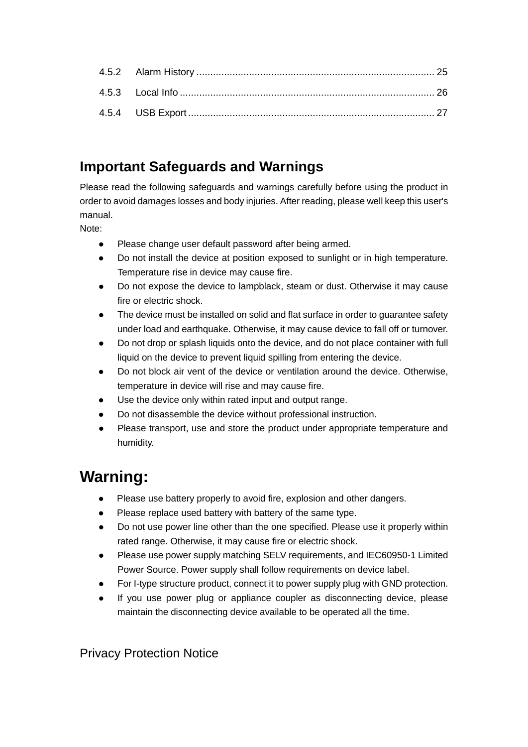# **Important Safeguards and Warnings**

Please read the following safeguards and warnings carefully before using the product in order to avoid damages losses and body injuries. After reading, please well keep this user's manual.

Note:

- Please change user default password after being armed.
- Do not install the device at position exposed to sunlight or in high temperature. Temperature rise in device may cause fire.
- Do not expose the device to lampblack, steam or dust. Otherwise it may cause fire or electric shock.
- The device must be installed on solid and flat surface in order to guarantee safety under load and earthquake. Otherwise, it may cause device to fall off or turnover.
- Do not drop or splash liquids onto the device, and do not place container with full liquid on the device to prevent liquid spilling from entering the device.
- Do not block air vent of the device or ventilation around the device. Otherwise, temperature in device will rise and may cause fire.
- Use the device only within rated input and output range.
- Do not disassemble the device without professional instruction.
- Please transport, use and store the product under appropriate temperature and humidity.

# **Warning:**

- Please use battery properly to avoid fire, explosion and other dangers.
- Please replace used battery with battery of the same type.
- Do not use power line other than the one specified. Please use it properly within rated range. Otherwise, it may cause fire or electric shock.
- Please use power supply matching SELV requirements, and IEC60950-1 Limited Power Source. Power supply shall follow requirements on device label.
- For I-type structure product, connect it to power supply plug with GND protection.
- If you use power plug or appliance coupler as disconnecting device, please maintain the disconnecting device available to be operated all the time.

Privacy Protection Notice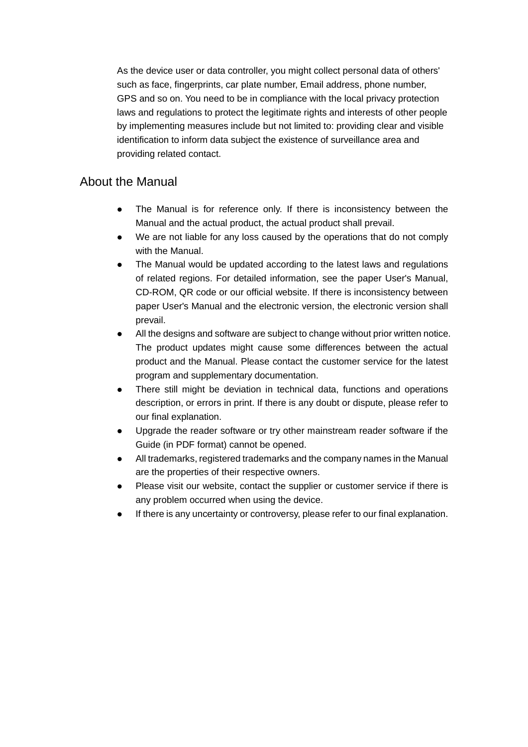As the device user or data controller, you might collect personal data of others' such as face, fingerprints, car plate number, Email address, phone number, GPS and so on. You need to be in compliance with the local privacy protection laws and regulations to protect the legitimate rights and interests of other people by implementing measures include but not limited to: providing clear and visible identification to inform data subject the existence of surveillance area and providing related contact.

## About the Manual

- The Manual is for reference only. If there is inconsistency between the Manual and the actual product, the actual product shall prevail.
- We are not liable for any loss caused by the operations that do not comply with the Manual.
- The Manual would be updated according to the latest laws and regulations of related regions. For detailed information, see the paper User's Manual, CD-ROM, QR code or our official website. If there is inconsistency between paper User's Manual and the electronic version, the electronic version shall prevail.
- All the designs and software are subject to change without prior written notice. The product updates might cause some differences between the actual product and the Manual. Please contact the customer service for the latest program and supplementary documentation.
- There still might be deviation in technical data, functions and operations description, or errors in print. If there is any doubt or dispute, please refer to our final explanation.
- Upgrade the reader software or try other mainstream reader software if the Guide (in PDF format) cannot be opened.
- [All trademarks, registered trademarks and the company names in the Manual](http://www.affordablelaundry.com/all-trademarks-and-registered-trademarks-are-the-property-of-their-respective-owners)  [are the properties of their respective owners.](http://www.affordablelaundry.com/all-trademarks-and-registered-trademarks-are-the-property-of-their-respective-owners)
- Please visit our website, contact the supplier or customer service if there is any problem occurred when using the device.
- If there is any uncertainty or controversy, please refer to our final explanation.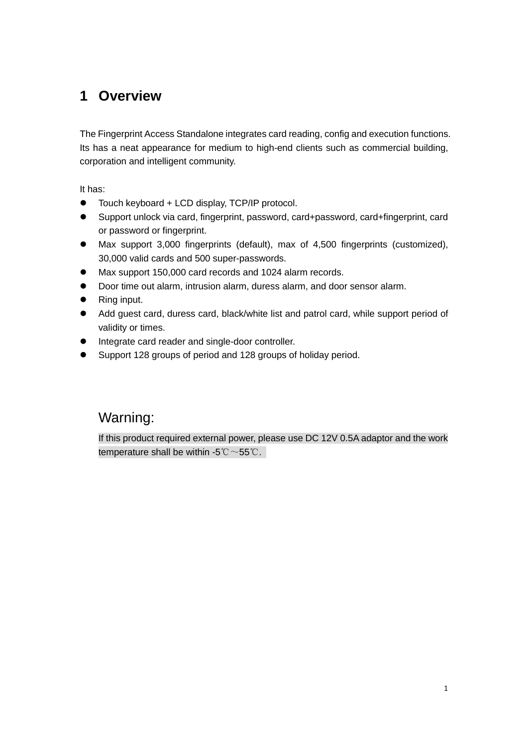# <span id="page-4-0"></span>**1 Overview**

The Fingerprint Access Standalone integrates card reading, config and execution functions. Its has a neat appearance for medium to high-end clients such as commercial building, corporation and intelligent community.

It has:

- Touch keyboard + LCD display, TCP/IP protocol.
- Support unlock via card, fingerprint, password, card+password, card+fingerprint, card or password or fingerprint.
- Max support 3,000 fingerprints (default), max of 4,500 fingerprints (customized), 30,000 valid cards and 500 super-passwords.
- Max support 150,000 card records and 1024 alarm records.
- Door time out alarm, intrusion alarm, duress alarm, and door sensor alarm.
- Ring input.
- Add guest card, duress card, black/white list and patrol card, while support period of validity or times.
- Integrate card reader and single-door controller.
- Support 128 groups of period and 128 groups of holiday period.

# Warning:

If this product required external power, please use DC 12V 0.5A adaptor and the work temperature shall be within -5℃ $\sim$ 55℃.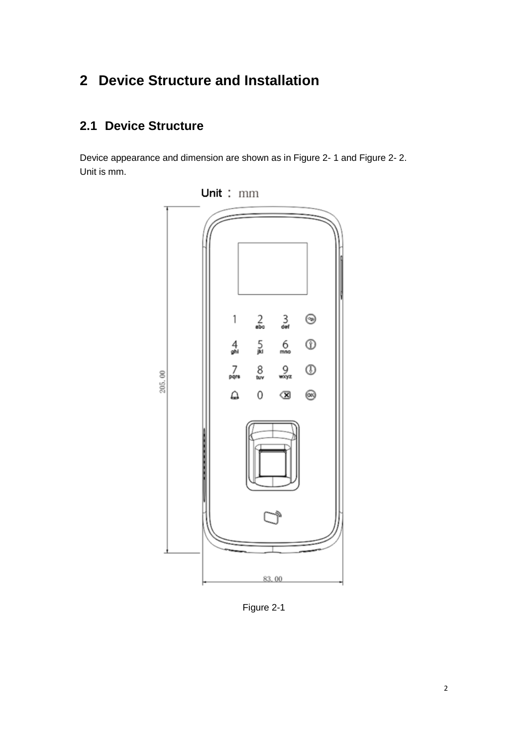# <span id="page-5-0"></span>**2 Device Structure and Installation**

# <span id="page-5-1"></span>**2.1 Device Structure**

Device appearance and dimension are shown as in Figure 2- 1 and Figure 2- 2. Unit is mm.



Figure 2-1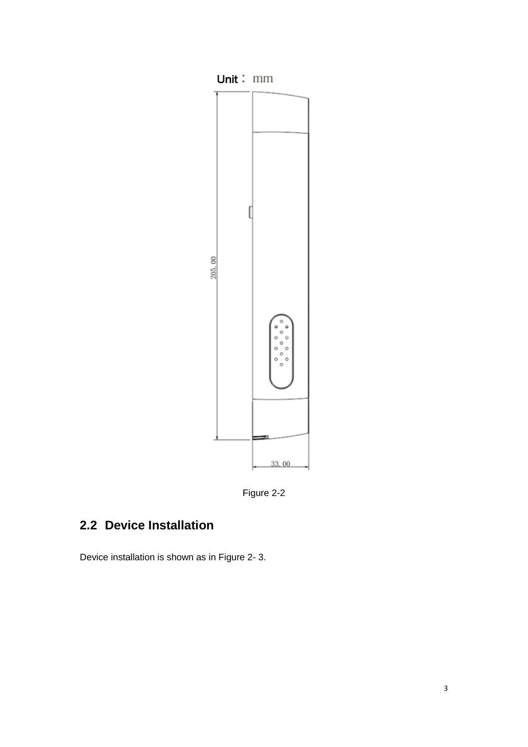

Figure 2-2

# <span id="page-6-0"></span>**2.2 Device Installation**

Device installation is shown as in Figure 2- 3.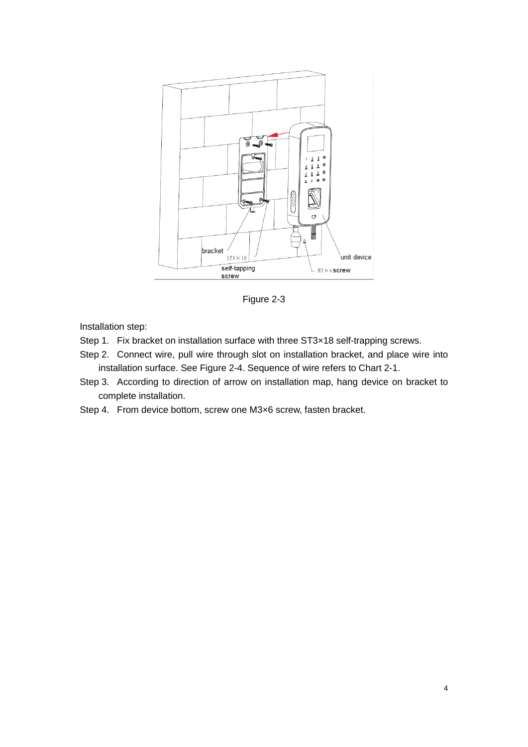

Figure 2-3

Installation step:

- Step 1. Fix bracket on installation surface with three ST3×18 self-trapping screws.
- Step 2. Connect wire, pull wire through slot on installation bracket, and place wire into installation surface. See [Figure 2-4.](#page-8-0) Sequence of wire refers to [Chart 2-1.](#page-9-0)
- Step 3. According to direction of arrow on installation map, hang device on bracket to complete installation.
- Step 4. From device bottom, screw one M3×6 screw, fasten bracket.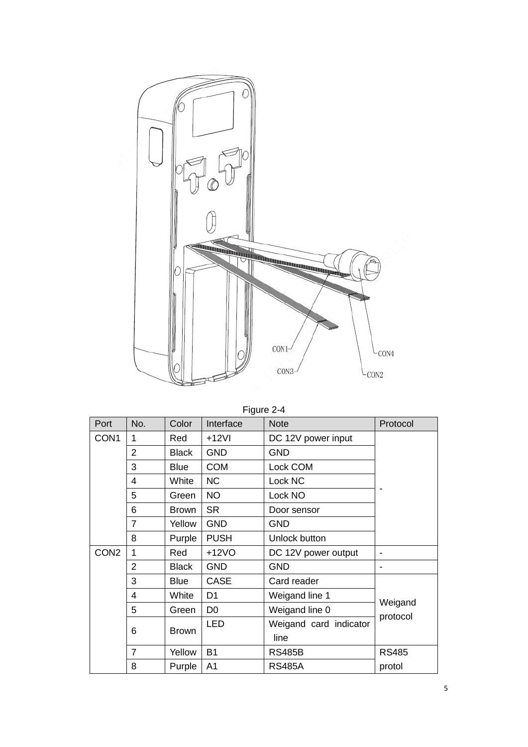

Figure 2-4

<span id="page-8-0"></span>

| Port             | No.            | Color        | Interface      | <b>Note</b>            | Protocol            |
|------------------|----------------|--------------|----------------|------------------------|---------------------|
| CON <sub>1</sub> | 1              | Red          | $+12VI$        | DC 12V power input     |                     |
|                  | $\overline{2}$ | <b>Black</b> | <b>GND</b>     | <b>GND</b>             |                     |
|                  | 3              | <b>Blue</b>  | <b>COM</b>     | Lock COM               |                     |
|                  | 4              | White        | <b>NC</b>      | Lock NC                |                     |
|                  | 5              | Green        | <b>NO</b>      | Lock NO                |                     |
|                  | 6              | <b>Brown</b> | <b>SR</b>      | Door sensor            |                     |
|                  | $\overline{7}$ | Yellow       | <b>GND</b>     | <b>GND</b>             |                     |
|                  | 8              | Purple       | <b>PUSH</b>    | Unlock button          |                     |
| CON <sub>2</sub> | 1              | Red          | $+12VO$        | DC 12V power output    |                     |
|                  | $\overline{2}$ | <b>Black</b> | <b>GND</b>     | <b>GND</b>             |                     |
|                  | 3              | <b>Blue</b>  | <b>CASE</b>    | Card reader            |                     |
|                  | $\overline{4}$ | White        | D <sub>1</sub> | Weigand line 1         |                     |
|                  | 5              | Green        | D <sub>0</sub> | Weigand line 0         | Weigand<br>protocol |
|                  | 6              | <b>Brown</b> | <b>LED</b>     | Weigand card indicator |                     |
|                  |                |              |                | line                   |                     |
|                  | $\overline{7}$ | Yellow       | <b>B1</b>      | <b>RS485B</b>          | <b>RS485</b>        |
|                  | 8              | Purple       | A <sub>1</sub> | <b>RS485A</b>          | protol              |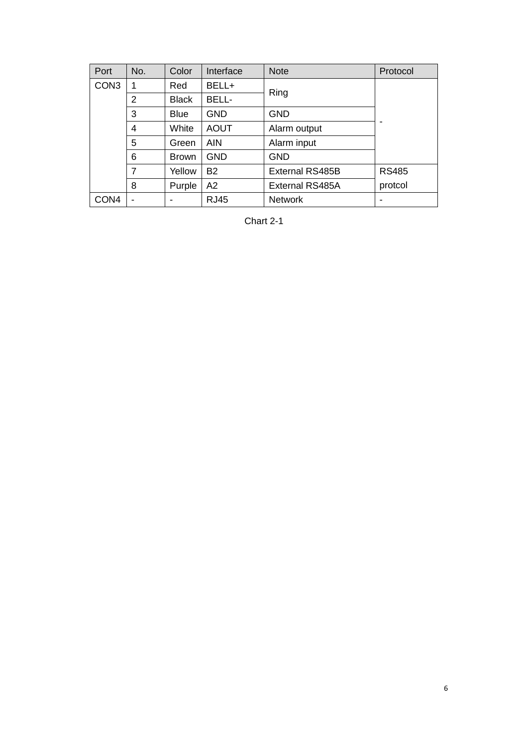<span id="page-9-0"></span>

| Port             | No. | Color        | Interface   | <b>Note</b>     | Protocol                 |
|------------------|-----|--------------|-------------|-----------------|--------------------------|
| CON <sub>3</sub> | 1   | Red          | BELL+       | Ring            |                          |
|                  | 2   | <b>Black</b> | BELL-       |                 |                          |
|                  | 3   | <b>Blue</b>  | <b>GND</b>  | <b>GND</b>      |                          |
|                  | 4   | White        | <b>AOUT</b> | Alarm output    | $\overline{\phantom{0}}$ |
|                  | 5   | Green        | <b>AIN</b>  | Alarm input     |                          |
|                  | 6   | <b>Brown</b> | <b>GND</b>  | <b>GND</b>      |                          |
|                  | 7   | Yellow       | <b>B2</b>   | External RS485B | <b>RS485</b>             |
|                  | 8   | Purple       | A2          | External RS485A | protcol                  |
| CON <sub>4</sub> |     |              | <b>RJ45</b> | <b>Network</b>  | ۰                        |

Chart 2-1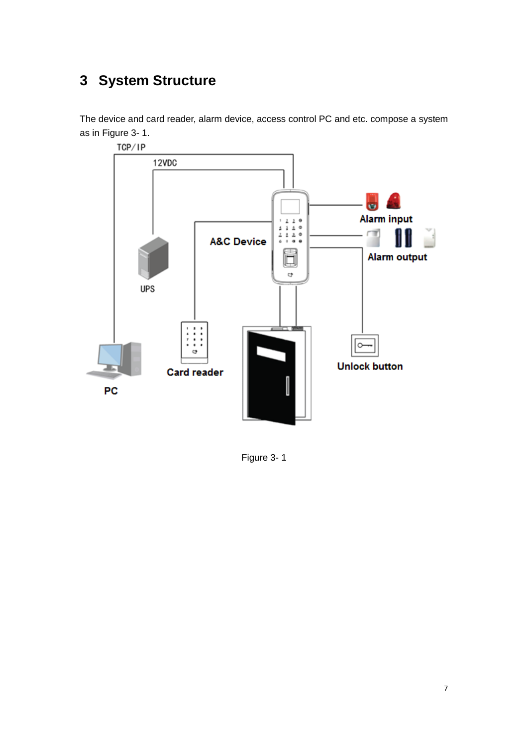# <span id="page-10-0"></span>**3 System Structure**

The device and card reader, alarm device, access control PC and etc. compose a system as in [Figure 3-](#page-10-1) 1.



<span id="page-10-1"></span>Figure 3- 1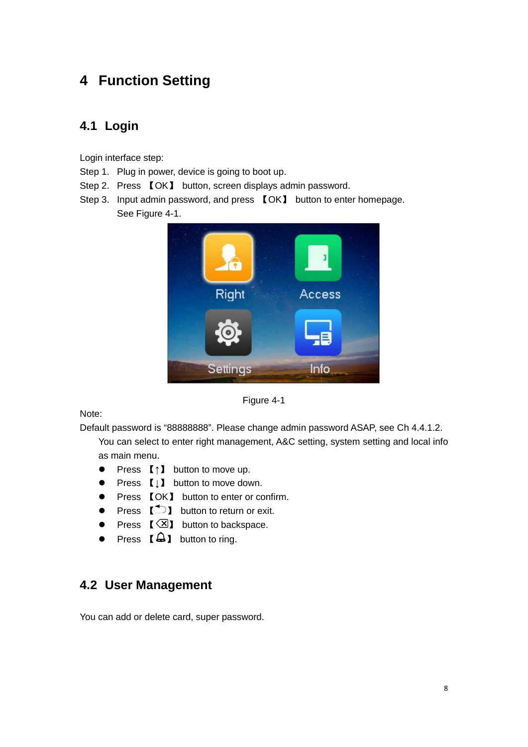# <span id="page-11-0"></span>**4 Function Setting**

## <span id="page-11-1"></span>**4.1 Login**

Login interface step:

- Step 1. Plug in power, device is going to boot up.
- Step 2. Press 【OK】 button, screen displays admin password.
- Step 3. Input admin password, and press 【OK】 button to enter homepage. See [Figure 4-1.](#page-11-3)



Figure 4-1

<span id="page-11-3"></span>Note:

Default password is "88888888". Please change admin password ASAP, see Ch 4.4.1.2.

You can select to enter right management, A&C setting, system setting and local info as main menu.

- Press 【↑】 button to move up.
- Press 【↓】 button to move down.
- Press 【OK】 button to enter or confirm.
- Press  $\Box$  button to return or exit.
- Press  $\left[\sqrt{\mathbf{x}}\right]$  button to backspace.
- Press  $[\bigtriangleup]$  button to ring.

## <span id="page-11-2"></span>**4.2 User Management**

You can add or delete card, super password.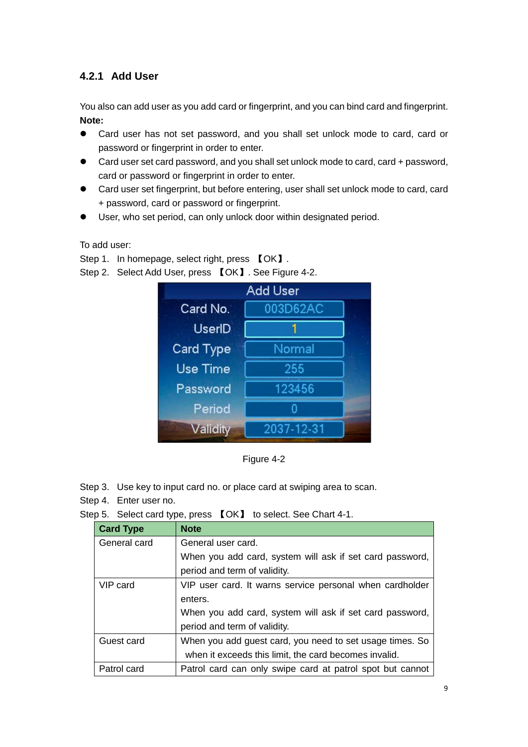## <span id="page-12-0"></span>**4.2.1 Add User**

You also can add user as you add card or fingerprint, and you can bind card and fingerprint. **Note:**

- Card user has not set password, and you shall set unlock mode to card, card or password or fingerprint in order to enter.
- Card user set card password, and you shall set unlock mode to card, card + password, card or password or fingerprint in order to enter.
- Card user set fingerprint, but before entering, user shall set unlock mode to card, card + password, card or password or fingerprint.
- User, who set period, can only unlock door within designated period.

To add user:

Step 1. In homepage, select right, press  $\text{LOK}$ .

Step 2. Select Add User, press 【OK】. See [Figure 4-2.](#page-12-1)

|           | Add User   |  |
|-----------|------------|--|
| Card No.  | 003D62AC   |  |
| UserID    |            |  |
| Card Type | Normal     |  |
| Use Time  | 255        |  |
| Password  | 123456     |  |
| Period    |            |  |
| Validity  | 2037-12-31 |  |

Figure 4-2

<span id="page-12-1"></span>Step 3. Use key to input card no. or place card at swiping area to scan.

Step 4. Enter user no.

Step 5. Select card type, press 【OK】 to select. See [Chart 4-1.](#page-13-1)

| <b>Card Type</b> | <b>Note</b>                                               |
|------------------|-----------------------------------------------------------|
| General card     | General user card.                                        |
|                  | When you add card, system will ask if set card password,  |
|                  | period and term of validity.                              |
| VIP card         | VIP user card. It warns service personal when cardholder  |
|                  | enters.                                                   |
|                  | When you add card, system will ask if set card password,  |
|                  | period and term of validity.                              |
| Guest card       | When you add guest card, you need to set usage times. So  |
|                  | when it exceeds this limit, the card becomes invalid.     |
| Patrol card      | Patrol card can only swipe card at patrol spot but cannot |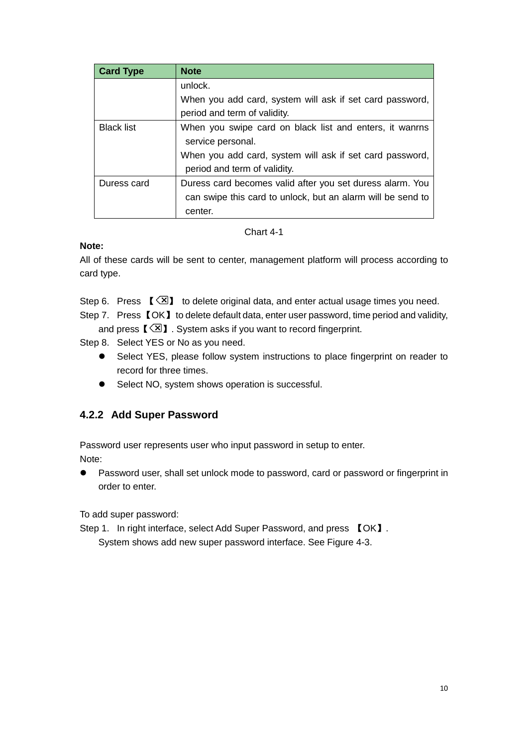| <b>Card Type</b>  | <b>Note</b>                                                 |
|-------------------|-------------------------------------------------------------|
|                   | unlock.                                                     |
|                   | When you add card, system will ask if set card password,    |
|                   | period and term of validity.                                |
| <b>Black list</b> | When you swipe card on black list and enters, it wanrns     |
|                   | service personal.                                           |
|                   | When you add card, system will ask if set card password,    |
|                   | period and term of validity.                                |
| Duress card       | Duress card becomes valid after you set duress alarm. You   |
|                   | can swipe this card to unlock, but an alarm will be send to |
|                   | center.                                                     |

Chart 4-1

#### <span id="page-13-1"></span>**Note:**

All of these cards will be sent to center, management platform will process according to card type.

Step 6. Press  $\left[\sqrt{8}\right]$  to delete original data, and enter actual usage times you need.

Step 7. Press **[OK]** to delete default data, enter user password, time period and validity, and press  $\lbrack \langle \overline{\times} \rbrack \rbrack$ . System asks if you want to record fingerprint.

Step 8. Select YES or No as you need.

- Select YES, please follow system instructions to place fingerprint on reader to record for three times.
- Select NO, system shows operation is successful.

## <span id="page-13-0"></span>**4.2.2 Add Super Password**

Password user represents user who input password in setup to enter. Note:

 Password user, shall set unlock mode to password, card or password or fingerprint in order to enter.

To add super password:

Step 1. In right interface, select Add Super Password, and press 【OK】.

System shows add new super password interface. See [Figure 4-3.](#page-14-1)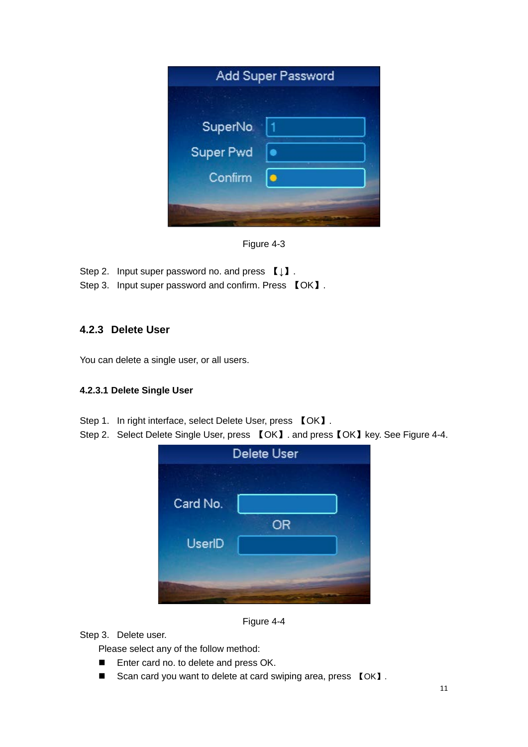|                  | <b>Add Super Password</b> |
|------------------|---------------------------|
|                  |                           |
| SuperNo          |                           |
| <b>Super Pwd</b> |                           |
| Confirm          | ō                         |
|                  |                           |
|                  |                           |

Figure 4-3

<span id="page-14-1"></span>Step 2. Input super password no. and press  $\llbracket \downarrow \rrbracket$ .

Step 3. Input super password and confirm. Press 【OK】.

## <span id="page-14-0"></span>**4.2.3 Delete User**

You can delete a single user, or all users.

#### **4.2.3.1 Delete Single User**

- Step 1. In right interface, select Delete User, press 【OK】.
- Step 2. Select Delete Single User, press 【OK】. and press【OK】key. See [Figure 4-4.](#page-14-2)

| <b>Delete User</b> |  |
|--------------------|--|
|                    |  |
|                    |  |
| <b>OR</b>          |  |
|                    |  |
|                    |  |
|                    |  |
|                    |  |

Figure 4-4

<span id="page-14-2"></span>Step 3. Delete user.

Please select any of the follow method:

- **Enter card no. to delete and press OK.**
- Scan card you want to delete at card swiping area, press 【OK】.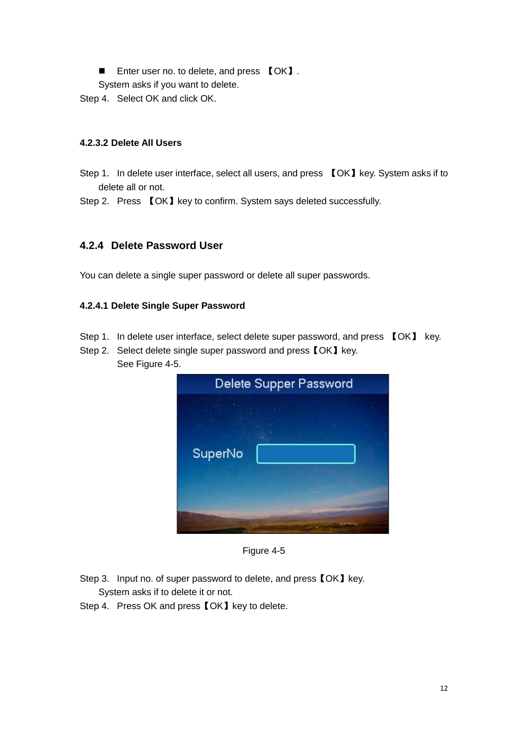■ Enter user no. to delete, and press 【OK】.

System asks if you want to delete.

Step 4. Select OK and click OK.

#### **4.2.3.2 Delete All Users**

Step 1. In delete user interface, select all users, and press 【OK】key. System asks if to delete all or not.

Step 2. Press 【OK】key to confirm. System says deleted successfully.

#### <span id="page-15-0"></span>**4.2.4 Delete Password User**

You can delete a single super password or delete all super passwords.

#### **4.2.4.1 Delete Single Super Password**

- Step 1. In delete user interface, select delete super password, and press  $\Box$  OK  $\Box$  key.
- Step 2. Select delete single super password and press  $IOKJ$  key. See [Figure 4-5.](#page-15-1)

| Delete Supper Password |  |
|------------------------|--|
|                        |  |
| <b>SuperNo</b>         |  |
|                        |  |

Figure 4-5

- <span id="page-15-1"></span>Step 3. Input no. of super password to delete, and press  $\textsf{[OK]}$  key. System asks if to delete it or not.
- Step 4. Press OK and press **[OK]** key to delete.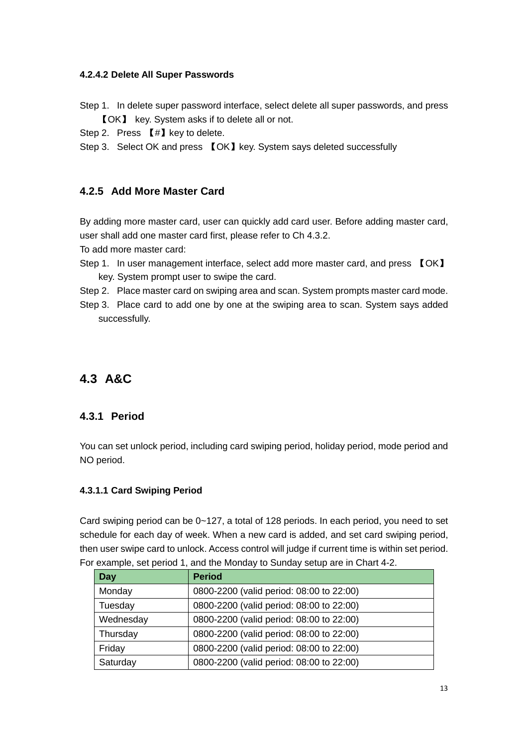#### **4.2.4.2 Delete All Super Passwords**

- Step 1. In delete super password interface, select delete all super passwords, and press 【OK】 key. System asks if to delete all or not.
- Step 2. Press 【#】key to delete.
- Step 3. Select OK and press 【OK】key. System says deleted successfully

### <span id="page-16-0"></span>**4.2.5 Add More Master Card**

By adding more master card, user can quickly add card user. Before adding master card, user shall add one master card first, please refer to Ch 4.3.2.

To add more master card:

- Step 1. In user management interface, select add more master card, and press 【OK】 key. System prompt user to swipe the card.
- Step 2. Place master card on swiping area and scan. System prompts master card mode.
- Step 3. Place card to add one by one at the swiping area to scan. System says added successfully.

# <span id="page-16-1"></span>**4.3 A&C**

## <span id="page-16-2"></span>**4.3.1 Period**

You can set unlock period, including card swiping period, holiday period, mode period and NO period.

#### **4.3.1.1 Card Swiping Period**

Card swiping period can be 0~127, a total of 128 periods. In each period, you need to set schedule for each day of week. When a new card is added, and set card swiping period, then user swipe card to unlock. Access control will judge if current time is within set period. For example, set period 1, and the Monday to Sunday setup are in [Chart 4-2.](#page-17-0)

| <b>Day</b> | <b>Period</b>                            |
|------------|------------------------------------------|
| Monday     | 0800-2200 (valid period: 08:00 to 22:00) |
| Tuesday    | 0800-2200 (valid period: 08:00 to 22:00) |
| Wednesday  | 0800-2200 (valid period: 08:00 to 22:00) |
| Thursday   | 0800-2200 (valid period: 08:00 to 22:00) |
| Friday     | 0800-2200 (valid period: 08:00 to 22:00) |
| Saturday   | 0800-2200 (valid period: 08:00 to 22:00) |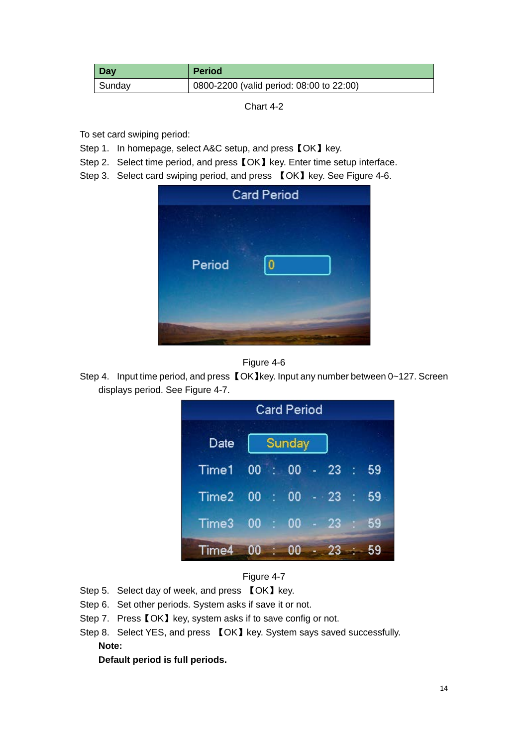<span id="page-17-0"></span>

| <b>Day</b> | <b>Period</b>                            |
|------------|------------------------------------------|
| Sunday     | 0800-2200 (valid period: 08:00 to 22:00) |

Chart 4-2

To set card swiping period:

- Step 1. In homepage, select A&C setup, and press [OK] key.
- Step 2. Select time period, and press **[OK]** key. Enter time setup interface.
- Step 3. Select card swiping period, and press 【OK】key. See [Figure 4-6.](#page-17-1)

|        | <b>Card Period</b> |
|--------|--------------------|
| Period | ٥                  |



<span id="page-17-1"></span>Step 4. Input time period, and press 【OK】key. Input any number between 0~127. Screen displays period. See [Figure 4-7.](#page-17-2)

|       |         |               | <b>Card Period</b> |     |       |                |    |
|-------|---------|---------------|--------------------|-----|-------|----------------|----|
| Date  |         |               | Sunday             |     |       |                |    |
| Time1 | 00      | <b>REGIST</b> | 00                 | ie. | 23    | $\blacksquare$ | 59 |
| Time2 | 00 : 00 |               |                    |     | $-23$ | b              | 59 |
| Time3 | 00      |               | $\therefore$ 00    |     | $-23$ |                | 59 |
| Time4 | 00      |               | 00                 |     | 23    |                |    |



- <span id="page-17-2"></span>Step 5. Select day of week, and press 【OK】key.
- Step 6. Set other periods. System asks if save it or not.
- Step 7. Press **[OK]** key, system asks if to save config or not.
- Step 8. Select YES, and press 【OK】key. System says saved successfully.

## **Note:**

**Default period is full periods.**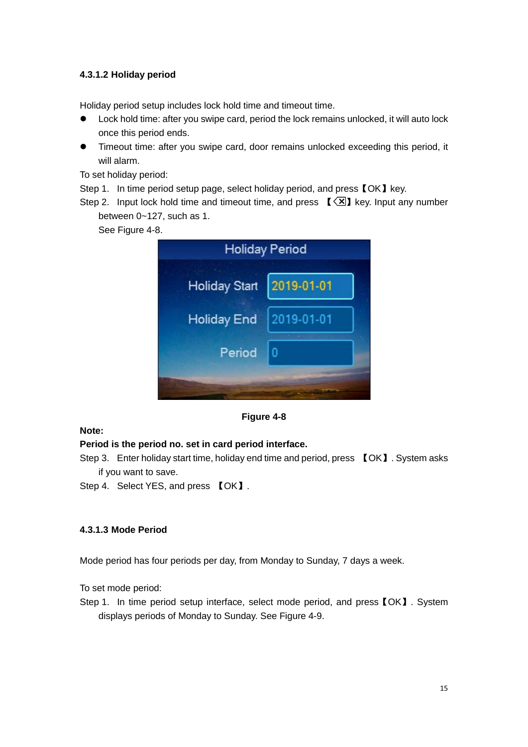#### **4.3.1.2 Holiday period**

Holiday period setup includes lock hold time and timeout time.

- Lock hold time: after you swipe card, period the lock remains unlocked, it will auto lock once this period ends.
- Timeout time: after you swipe card, door remains unlocked exceeding this period, it will alarm.

To set holiday period:

Step 1. In time period setup page, select holiday period, and press [OK] key.

Step 2. Input lock hold time and timeout time, and press  $\lbrack \lbrack \leq \rbrack$  key. Input any number between 0~127, such as 1.

See [Figure 4-8.](#page-18-0)

|                      | <b>Holiday Period</b> |
|----------------------|-----------------------|
| <b>Holiday Start</b> | 2019-01-01            |
| Holiday End          | 2019-01-01            |
| Period               |                       |
|                      |                       |

#### **Figure 4-8**

#### <span id="page-18-0"></span>**Note:**

#### **Period is the period no. set in card period interface.**

- Step 3. Enter holiday start time, holiday end time and period, press 【OK】. System asks if you want to save.
- Step 4. Select YES, and press 【OK】.

#### **4.3.1.3 Mode Period**

Mode period has four periods per day, from Monday to Sunday, 7 days a week.

To set mode period:

Step 1. In time period setup interface, select mode period, and press【OK】. System displays periods of Monday to Sunday. See [Figure 4-9.](#page-19-0)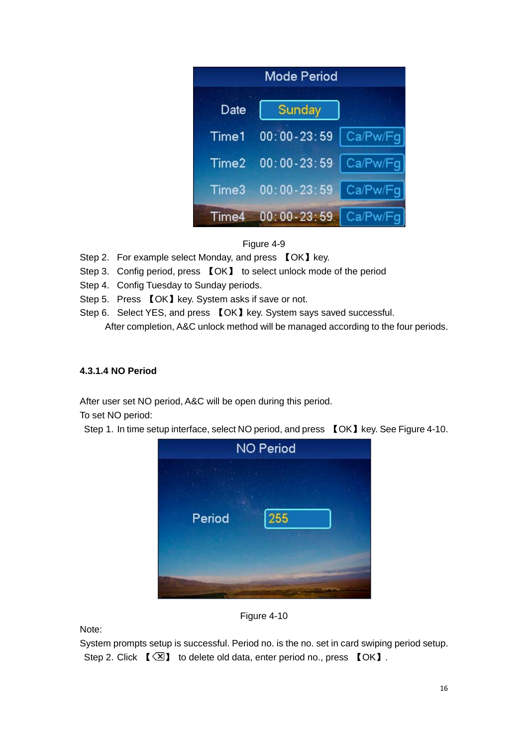| Mode Period |                 |          |
|-------------|-----------------|----------|
| Date        | Sunday          |          |
| Time1       | $00:00 - 23:59$ | Ca/Pw/Fg |
| Time2       | $00:00 - 23:59$ | Ca/Pw/Fg |
| Time3       | $00:00 - 23:59$ | Ca/Pw/Fg |
| Time4       | $00:00 - 23:59$ | Ca/Pw/Fq |

Figure 4-9

- <span id="page-19-0"></span>Step 2. For example select Monday, and press 【OK】key.
- Step 3. Config period, press 【OK】 to select unlock mode of the period
- Step 4. Config Tuesday to Sunday periods.
- Step 5. Press 【OK】key. System asks if save or not.
- Step 6. Select YES, and press 【OK】key. System says saved successful. After completion, A&C unlock method will be managed according to the four periods.

#### **4.3.1.4 NO Period**

After user set NO period, A&C will be open during this period.

To set NO period:

Step 1. In time setup interface, select NO period, and press 【OK】key. Se[e Figure 4-10.](#page-19-1)





<span id="page-19-1"></span>Note:

System prompts setup is successful. Period no. is the no. set in card swiping period setup. Step 2. Click  $\left[\sqrt{3}\right]$  to delete old data, enter period no., press  $\left[\sqrt{0}K\right]$ .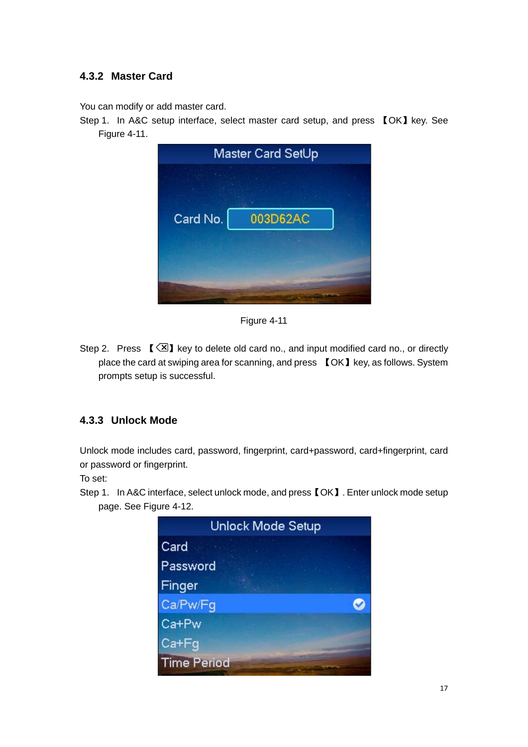### <span id="page-20-0"></span>**4.3.2 Master Card**

You can modify or add master card.

Step 1. In A&C setup interface, select master card setup, and press 【OK】key. See [Figure 4-11.](#page-20-2)

|          | Master Card SetUp |
|----------|-------------------|
|          |                   |
| Card No. | 003D62AC          |
|          |                   |
|          |                   |

Figure 4-11

<span id="page-20-2"></span>Step 2. Press  $\left[\sqrt{2}\right]$  key to delete old card no., and input modified card no., or directly place the card at swiping area for scanning, and press 【OK】key, as follows. System prompts setup is successful.

#### <span id="page-20-1"></span>**4.3.3 Unlock Mode**

Unlock mode includes card, password, fingerprint, card+password, card+fingerprint, card or password or fingerprint.

To set:

Step 1. In A&C interface, select unlock mode, and press【OK】. Enter unlock mode setup page. See [Figure 4-12.](#page-21-2)

| <b>Unlock Mode Setup</b> |  |
|--------------------------|--|
| Card                     |  |
| Password                 |  |
| Finger                   |  |
| Ca/Pw/Fg                 |  |
| Ca+Pw                    |  |
| Ca+Fg                    |  |
| <b>Time Period</b>       |  |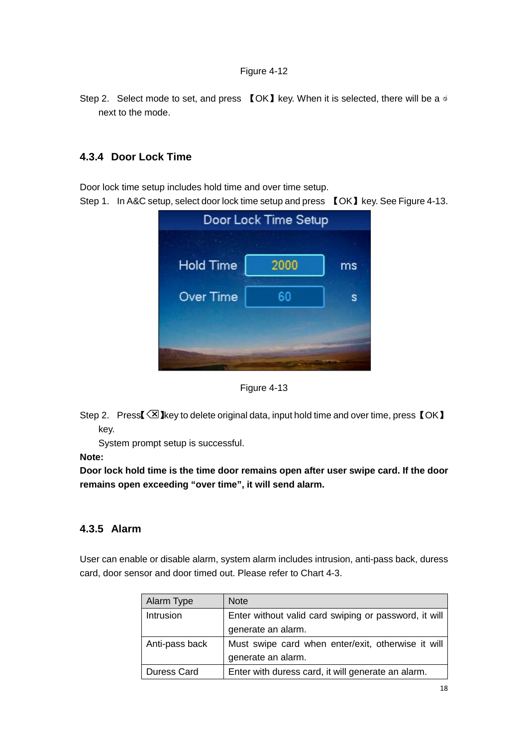<span id="page-21-2"></span>Step 2. Select mode to set, and press 【OK】key. When it is selected, there will be a  $\triangleleft$ next to the mode.

### <span id="page-21-0"></span>**4.3.4 Door Lock Time**

Door lock time setup includes hold time and over time setup.

Step 1. In A&C setup, select door lock time setup and press 【OK】key. Se[e Figure 4-13.](#page-21-3)

| <b>Hold Time</b> | 2000 | ms |
|------------------|------|----|
| <b>Over Time</b> | 60   |    |
|                  |      |    |



<span id="page-21-3"></span>Step 2. Press  $\boxtimes$  key to delete original data, input hold time and over time, press  $\textsf{[OK]}$ key.

System prompt setup is successful.

**Note:**

**Door lock hold time is the time door remains open after user swipe card. If the door remains open exceeding "over time", it will send alarm.** 

#### <span id="page-21-1"></span>**4.3.5 Alarm**

User can enable or disable alarm, system alarm includes intrusion, anti-pass back, duress card, door sensor and door timed out. Please refer to [Chart 4-3.](#page-22-1)

| Alarm Type     | <b>Note</b>                                           |
|----------------|-------------------------------------------------------|
| Intrusion      | Enter without valid card swiping or password, it will |
|                | generate an alarm.                                    |
| Anti-pass back | Must swipe card when enter/exit, otherwise it will    |
|                | generate an alarm.                                    |
| Duress Card    | Enter with duress card, it will generate an alarm.    |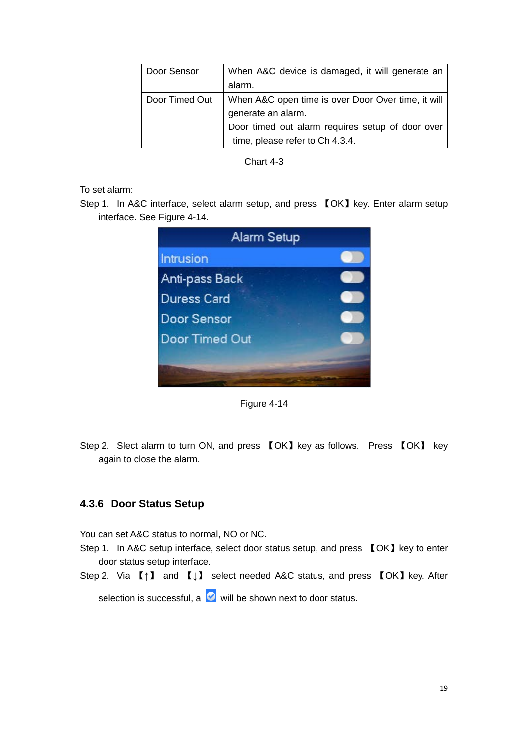| Door Sensor    | When A&C device is damaged, it will generate an    |
|----------------|----------------------------------------------------|
|                | alarm.                                             |
| Door Timed Out | When A&C open time is over Door Over time, it will |
|                | generate an alarm.                                 |
|                | Door timed out alarm requires setup of door over   |
|                | time, please refer to Ch 4.3.4.                    |

Chart 4-3

<span id="page-22-1"></span>To set alarm:

Step 1. In A&C interface, select alarm setup, and press 【OK】key. Enter alarm setup interface. See [Figure 4-14.](#page-22-2)



Figure 4-14

<span id="page-22-2"></span>Step 2. Slect alarm to turn ON, and press 【OK】key as follows. Press 【OK】 key again to close the alarm.

#### <span id="page-22-0"></span>**4.3.6 Door Status Setup**

You can set A&C status to normal, NO or NC.

- Step 1. In A&C setup interface, select door status setup, and press 【OK】key to enter door status setup interface.
- Step 2. Via 【↑】 and 【↓】 select needed A&C status, and press 【OK】key. After

selection is successful, a  $\heartsuit$  will be shown next to door status.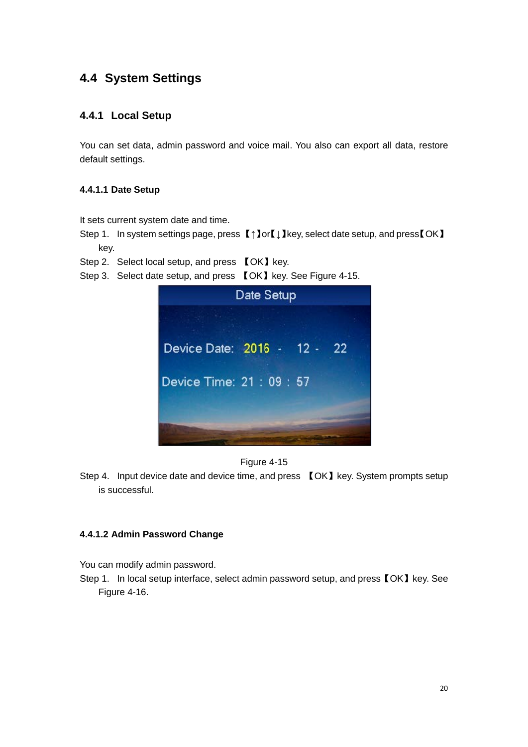# <span id="page-23-0"></span>**4.4 System Settings**

### <span id="page-23-1"></span>**4.4.1 Local Setup**

You can set data, admin password and voice mail. You also can export all data, restore default settings.

#### **4.4.1.1 Date Setup**

It sets current system date and time.

Step 1. In system settings page, press 【↑】or【↓】key, select date setup, and press【OK】 key.

Step 2. Select local setup, and press 【OK】key.

Step 3. Select date setup, and press 【OK】key. See [Figure 4-15.](#page-23-2)





<span id="page-23-2"></span>Step 4. Input device date and device time, and press 【OK】key. System prompts setup is successful.

#### **4.4.1.2 Admin Password Change**

You can modify admin password.

Step 1. In local setup interface, select admin password setup, and press [OK] key. See [Figure 4-16.](#page-24-0)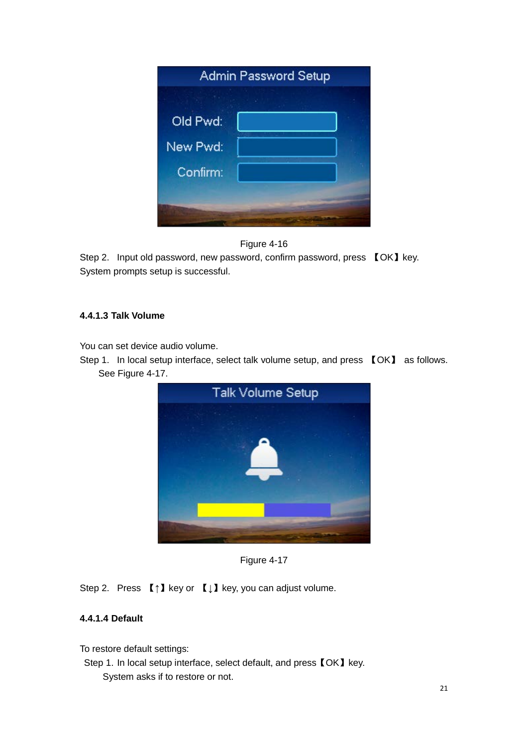|          | <b>Admin Password Setup</b> |  |
|----------|-----------------------------|--|
|          |                             |  |
| Old Pwd: |                             |  |
| New Pwd: |                             |  |
| Confirm: |                             |  |
|          |                             |  |
|          |                             |  |



<span id="page-24-0"></span>Step 2. Input old password, new password, confirm password, press [OK] key. System prompts setup is successful.

#### **4.4.1.3 Talk Volume**

You can set device audio volume.

Step 1. In local setup interface, select talk volume setup, and press 【OK】 as follows. See [Figure 4-17.](#page-24-1)



Figure 4-17

<span id="page-24-1"></span>Step 2. Press 【↑】key or 【↓】key, you can adjust volume.

#### **4.4.1.4 Default**

To restore default settings:

Step 1. In local setup interface, select default, and press 【OK】key. System asks if to restore or not.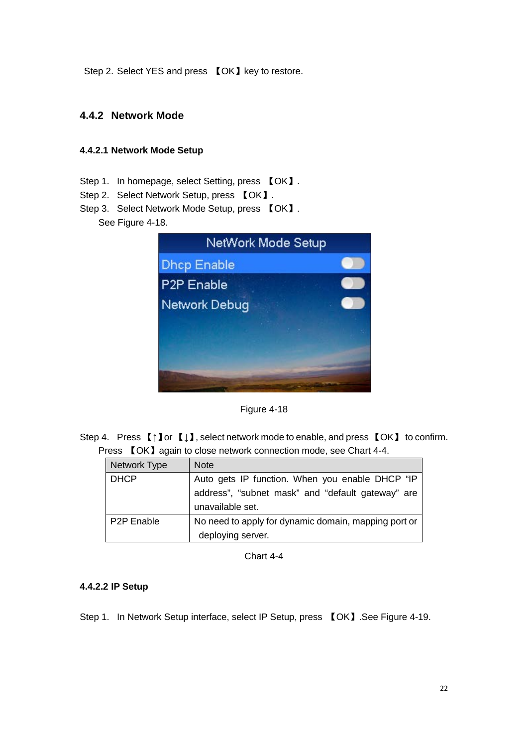Step 2. Select YES and press 【OK】key to restore.

#### <span id="page-25-0"></span>**4.4.2 Network Mode**

#### **4.4.2.1 Network Mode Setup**

- Step 1. In homepage, select Setting, press 【OK】.
- Step 2. Select Network Setup, press 【OK】.
- Step 3. Select Network Mode Setup, press 【OK】. See [Figure 4-18.](#page-25-1)

|                        | NetWork Mode Setup |  |
|------------------------|--------------------|--|
| <b>Dhcp Enable</b>     |                    |  |
| P <sub>2P</sub> Enable |                    |  |
| <b>Network Debug</b>   |                    |  |
|                        |                    |  |
|                        |                    |  |
|                        |                    |  |

Figure 4-18

<span id="page-25-1"></span>Step 4. Press 【↑】or 【↓】, select network mode to enable, and press 【OK】 to confirm. Press **[OK]** again to close network connection mode, see [Chart 4-4.](#page-25-2)

| Network Type            | <b>Note</b>                                          |
|-------------------------|------------------------------------------------------|
| <b>DHCP</b>             | Auto gets IP function. When you enable DHCP "IP      |
|                         | address", "subnet mask" and "default gateway" are    |
|                         | unavailable set.                                     |
| P <sub>2</sub> P Enable | No need to apply for dynamic domain, mapping port or |
|                         | deploying server.                                    |

Chart 4-4

#### <span id="page-25-2"></span>**4.4.2.2 IP Setup**

Step 1. In Network Setup interface, select IP Setup, press 【OK】.See [Figure 4-19.](#page-26-1)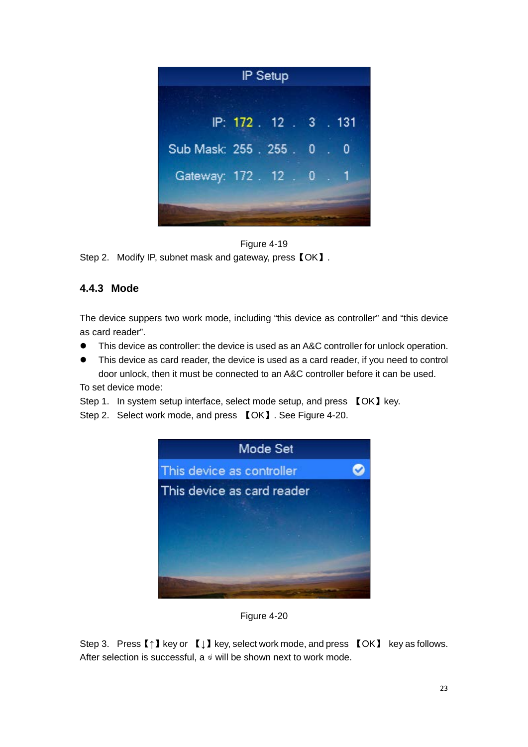



<span id="page-26-1"></span><span id="page-26-0"></span>Step 2. Modify IP, subnet mask and gateway, press  $IOKJ$ .

#### **4.4.3 Mode**

The device suppers two work mode, including "this device as controller" and "this device as card reader".

- This device as controller: the device is used as an A&C controller for unlock operation.
- This device as card reader, the device is used as a card reader, if you need to control door unlock, then it must be connected to an A&C controller before it can be used.

To set device mode:

Step 1. In system setup interface, select mode setup, and press 【OK】key.

Step 2. Select work mode, and press 【OK】. See [Figure 4-20.](#page-26-2)



Figure 4-20

<span id="page-26-2"></span>Step 3. Press【↑】key or 【↓】key, select work mode, and press 【OK】 key as follows. After selection is successful, a  $\triangleleft$  will be shown next to work mode.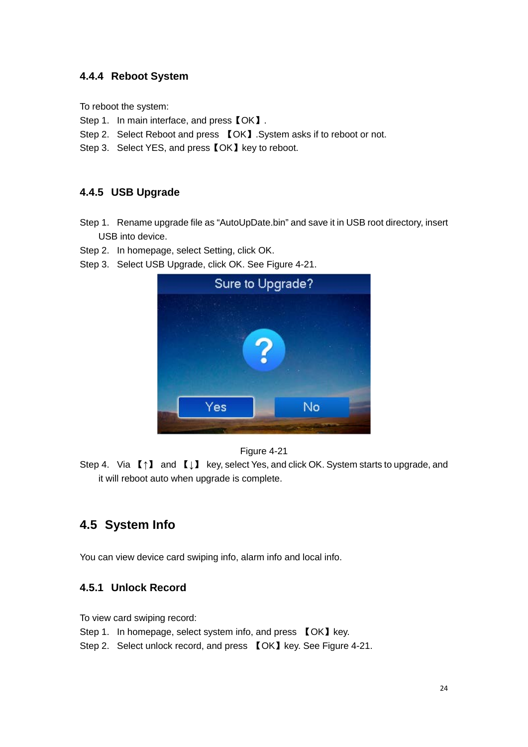## <span id="page-27-0"></span>**4.4.4 Reboot System**

To reboot the system:

- Step 1. In main interface, and press  $IOK$ .
- Step 2. Select Reboot and press 【OK】.System asks if to reboot or not.
- Step 3. Select YES, and press 【OK】key to reboot.

## <span id="page-27-1"></span>**4.4.5 USB Upgrade**

- Step 1. Rename upgrade file as "AutoUpDate.bin" and save it in USB root directory, insert USB into device.
- Step 2. In homepage, select Setting, click OK.
- Step 3. Select USB Upgrade, click OK. See [Figure 4-21.](#page-27-4)





<span id="page-27-4"></span>Step 4. Via 【↑】 and 【↓】 key, select Yes, and click OK. System starts to upgrade, and it will reboot auto when upgrade is complete.

# <span id="page-27-2"></span>**4.5 System Info**

<span id="page-27-3"></span>You can view device card swiping info, alarm info and local info.

## **4.5.1 Unlock Record**

To view card swiping record:

- Step 1. In homepage, select system info, and press [OK] key.
- Step 2. Select unlock record, and press 【OK】key. See [Figure 4-21.](#page-28-1)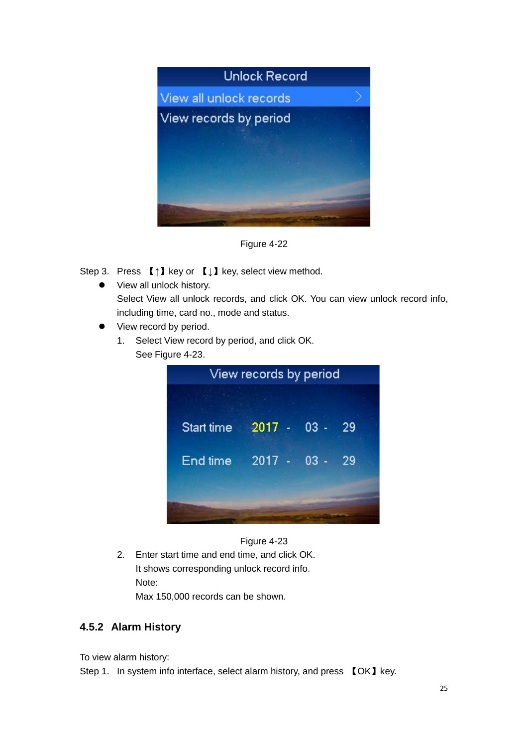

Figure 4-22

<span id="page-28-1"></span>Step 3. Press 【↑】key or 【↓】key, select view method.

- View all unlock history. Select View all unlock records, and click OK. You can view unlock record info, including time, card no., mode and status.
- View record by period.
	- 1. Select View record by period, and click OK. See [Figure 4-23.](#page-28-2)

|            | View records by period |  |
|------------|------------------------|--|
| Start time | $2017 - 03 - 29$       |  |
| End time   | $2017 - 03 -$<br>29    |  |
|            |                        |  |
|            |                        |  |



<span id="page-28-2"></span>2. Enter start time and end time, and click OK. It shows corresponding unlock record info. Note:

Max 150,000 records can be shown.

#### <span id="page-28-0"></span>**4.5.2 Alarm History**

To view alarm history:

Step 1. In system info interface, select alarm history, and press [OK] key.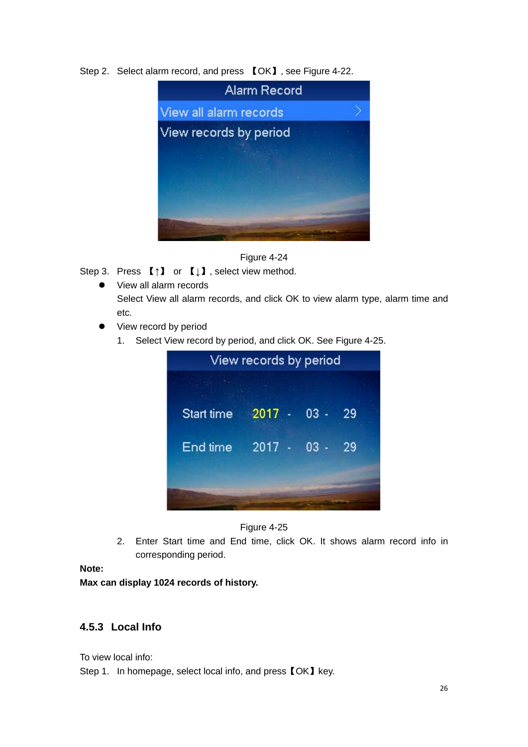#### Step 2. Select alarm record, and press 【OK】, see [Figure 4-22.](#page-29-1)



#### Figure 4-24

<span id="page-29-1"></span>Step 3. Press 【↑】 or 【↓】, select view method.

- View all alarm records Select View all alarm records, and click OK to view alarm type, alarm time and etc.
- View record by period
	- 1. Select View record by period, and click OK. See [Figure 4-25.](#page-29-2)





<span id="page-29-2"></span>2. Enter Start time and End time, click OK. It shows alarm record info in corresponding period.

#### **Note:**

**Max can display 1024 records of history.**

### <span id="page-29-0"></span>**4.5.3 Local Info**

To view local info:

Step 1. In homepage, select local info, and press  $IOK]$  key.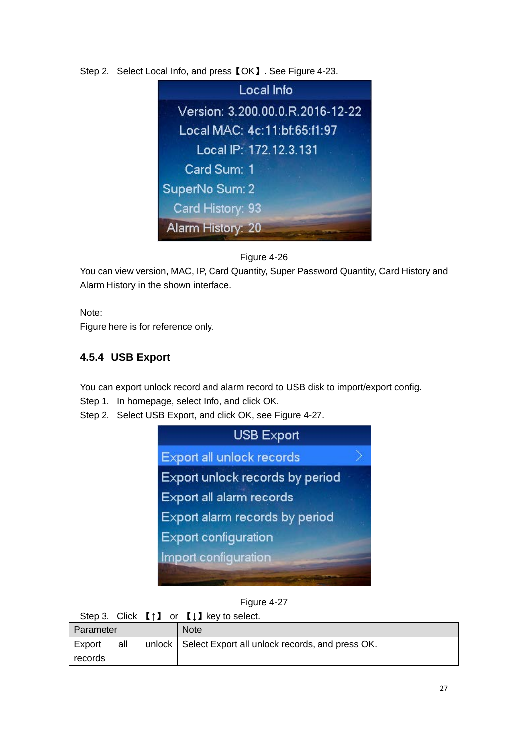Step 2. Select Local Info, and press【OK】. See [Figure 4-23.](#page-30-1)



#### Figure 4-26

<span id="page-30-1"></span>You can view version, MAC, IP, Card Quantity, Super Password Quantity, Card History and Alarm History in the shown interface.

Note:

<span id="page-30-0"></span>Figure here is for reference only.

## **4.5.4 USB Export**

You can export unlock record and alarm record to USB disk to import/export config.

- Step 1. In homepage, select Info, and click OK.
- Step 2. Select USB Export, and click OK, see [Figure 4-27.](#page-30-2)



Figure 4-27

<span id="page-30-2"></span>

|           |     | Step 3. Click $[\uparrow]$ or $[\downarrow]$ key to select. |
|-----------|-----|-------------------------------------------------------------|
| Parameter |     | <b>Note</b>                                                 |
| Export    | all | unlock   Select Export all unlock records, and press OK.    |
| records   |     |                                                             |